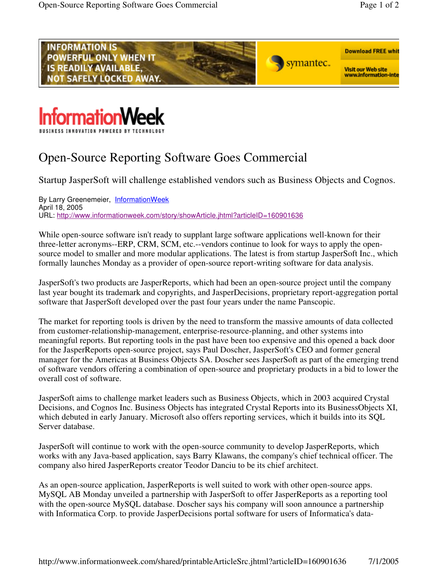



## Open-Source Reporting Software Goes Commercial

Startup JasperSoft will challenge established vendors such as Business Objects and Cognos.

By Larry Greenemeier, InformationWeek April 18, 2005 URL: http://www.informationweek.com/story/showArticle.jhtml?articleID=160901636

While open-source software isn't ready to supplant large software applications well-known for their three-letter acronyms--ERP, CRM, SCM, etc.--vendors continue to look for ways to apply the opensource model to smaller and more modular applications. The latest is from startup JasperSoft Inc., which formally launches Monday as a provider of open-source report-writing software for data analysis.

JasperSoft's two products are JasperReports, which had been an open-source project until the company last year bought its trademark and copyrights, and JasperDecisions, proprietary report-aggregation portal software that JasperSoft developed over the past four years under the name Panscopic.

The market for reporting tools is driven by the need to transform the massive amounts of data collected from customer-relationship-management, enterprise-resource-planning, and other systems into meaningful reports. But reporting tools in the past have been too expensive and this opened a back door for the JasperReports open-source project, says Paul Doscher, JasperSoft's CEO and former general manager for the Americas at Business Objects SA. Doscher sees JasperSoft as part of the emerging trend of software vendors offering a combination of open-source and proprietary products in a bid to lower the overall cost of software.

JasperSoft aims to challenge market leaders such as Business Objects, which in 2003 acquired Crystal Decisions, and Cognos Inc. Business Objects has integrated Crystal Reports into its BusinessObjects XI, which debuted in early January. Microsoft also offers reporting services, which it builds into its SQL Server database.

JasperSoft will continue to work with the open-source community to develop JasperReports, which works with any Java-based application, says Barry Klawans, the company's chief technical officer. The company also hired JasperReports creator Teodor Danciu to be its chief architect.

As an open-source application, JasperReports is well suited to work with other open-source apps. MySQL AB Monday unveiled a partnership with JasperSoft to offer JasperReports as a reporting tool with the open-source MySQL database. Doscher says his company will soon announce a partnership with Informatica Corp. to provide JasperDecisions portal software for users of Informatica's data